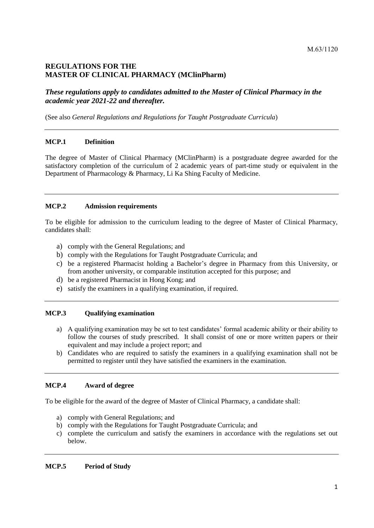# **REGULATIONS FOR THE MASTER OF CLINICAL PHARMACY (MClinPharm)**

*These regulations apply to candidates admitted to the Master of Clinical Pharmacy in the academic year 2021-22 and thereafter.*

(See also *General Regulations and Regulations for Taught Postgraduate Curricula*)

## **MCP.1 Definition**

The degree of Master of Clinical Pharmacy (MClinPharm) is a postgraduate degree awarded for the satisfactory completion of the curriculum of 2 academic years of part-time study or equivalent in the Department of Pharmacology & Pharmacy, Li Ka Shing Faculty of Medicine.

## **MCP.2 Admission requirements**

To be eligible for admission to the curriculum leading to the degree of Master of Clinical Pharmacy, candidates shall:

- a) comply with the General Regulations; and
- b) comply with the Regulations for Taught Postgraduate Curricula; and
- c) be a registered Pharmacist holding a Bachelor's degree in Pharmacy from this University, or from another university, or comparable institution accepted for this purpose; and
- d) be a registered Pharmacist in Hong Kong; and
- e) satisfy the examiners in a qualifying examination, if required.

#### **MCP.3 Qualifying examination**

- a) A qualifying examination may be set to test candidates' formal academic ability or their ability to follow the courses of study prescribed. It shall consist of one or more written papers or their equivalent and may include a project report; and
- b) Candidates who are required to satisfy the examiners in a qualifying examination shall not be permitted to register until they have satisfied the examiners in the examination.

## **MCP.4 Award of degree**

To be eligible for the award of the degree of Master of Clinical Pharmacy, a candidate shall:

- a) comply with General Regulations; and
- b) comply with the Regulations for Taught Postgraduate Curricula; and
- c) complete the curriculum and satisfy the examiners in accordance with the regulations set out below.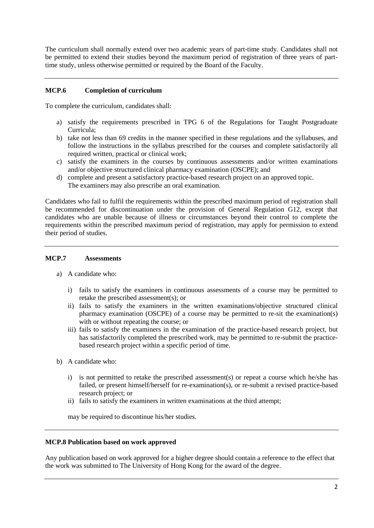The curriculum shall normally extend over two academic years of part-time study. Candidates shall not be permitted to extend their studies beyond the maximum period of registration of three years of parttime study, unless otherwise permitted or required by the Board of the Faculty.

## **MCP.6 Completion of curriculum**

To complete the curriculum, candidates shall:

- a) satisfy the requirements prescribed in TPG 6 of the Regulations for Taught Postgraduate Curricula;
- b) take not less than 69 credits in the manner specified in these regulations and the syllabuses, and follow the instructions in the syllabus prescribed for the courses and complete satisfactorily all required written, practical or clinical work;
- c) satisfy the examiners in the courses by continuous assessments and/or written examinations and/or objective structured clinical pharmacy examination (OSCPE); and
- d) complete and present a satisfactory practice-based research project on an approved topic. The examiners may also prescribe an oral examination.

Candidates who fail to fulfil the requirements within the prescribed maximum period of registration shall be recommended for discontinuation under the provision of General Regulation G12, except that candidates who are unable because of illness or circumstances beyond their control to complete the requirements within the prescribed maximum period of registration, may apply for permission to extend their period of studies.

## **MCP.7 Assessments**

- a) A candidate who:
	- i) fails to satisfy the examiners in continuous assessments of a course may be permitted to retake the prescribed assessment(s); or
	- ii) fails to satisfy the examiners in the written examinations/objective structured clinical pharmacy examination (OSCPE) of a course may be permitted to re-sit the examination(s) with or without repeating the course; or
	- iii) fails to satisfy the examiners in the examination of the practice-based research project, but has satisfactorily completed the prescribed work, may be permitted to re-submit the practicebased research project within a specific period of time.
- b) A candidate who:
	- i) is not permitted to retake the prescribed assessment(s) or repeat a course which he/she has failed, or present himself/herself for re-examination(s), or re-submit a revised practice-based research project; or
	- ii) fails to satisfy the examiners in written examinations at the third attempt;

may be required to discontinue his/her studies.

#### **MCP.8 Publication based on work approved**

Any publication based on work approved for a higher degree should contain a reference to the effect that the work was submitted to The University of Hong Kong for the award of the degree.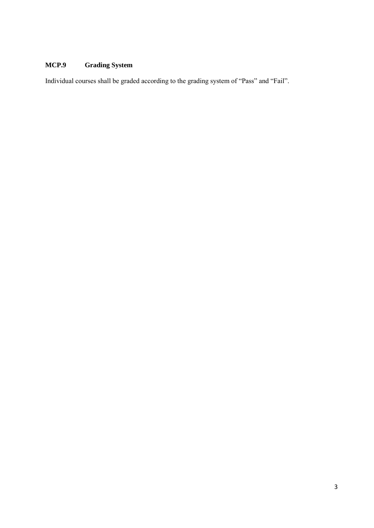# **MCP.9 Grading System**

Individual courses shall be graded according to the grading system of "Pass" and "Fail".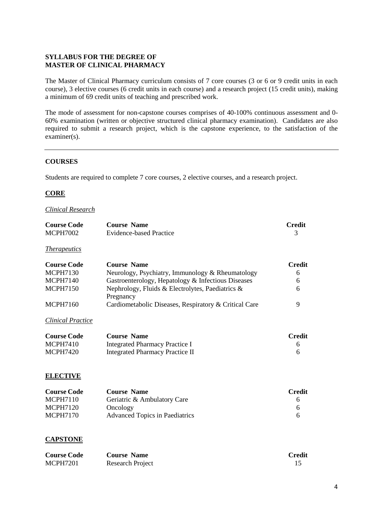## **SYLLABUS FOR THE DEGREE OF MASTER OF CLINICAL PHARMACY**

The Master of Clinical Pharmacy curriculum consists of 7 core courses (3 or 6 or 9 credit units in each course), 3 elective courses (6 credit units in each course) and a research project (15 credit units), making a minimum of 69 credit units of teaching and prescribed work.

The mode of assessment for non-capstone courses comprises of 40-100% continuous assessment and 0- 60% examination (written or objective structured clinical pharmacy examination). Candidates are also required to submit a research project, which is the capstone experience, to the satisfaction of the examiner(s).

#### **COURSES**

Students are required to complete 7 core courses, 2 elective courses, and a research project.

## **CORE**

#### *Clinical Research*

| <b>Course Code</b><br><b>MCPH7002</b> | <b>Course Name</b><br><b>Evidence-based Practice</b>          | <b>Credit</b><br>3 |
|---------------------------------------|---------------------------------------------------------------|--------------------|
| <i>Therapeutics</i>                   |                                                               |                    |
|                                       |                                                               |                    |
| <b>Course Code</b>                    | <b>Course Name</b>                                            | <b>Credit</b>      |
| <b>MCPH7130</b>                       | Neurology, Psychiatry, Immunology & Rheumatology              | 6                  |
| <b>MCPH7140</b>                       | Gastroenterology, Hepatology & Infectious Diseases            | 6                  |
| <b>MCPH7150</b>                       | Nephrology, Fluids & Electrolytes, Paediatrics &<br>Pregnancy | 6                  |
| <b>MCPH7160</b>                       | Cardiometabolic Diseases, Respiratory & Critical Care         | 9                  |
| <b>Clinical Practice</b>              |                                                               |                    |
| <b>Course Code</b>                    | <b>Course Name</b>                                            | <b>Credit</b>      |
| <b>MCPH7410</b>                       | <b>Integrated Pharmacy Practice I</b>                         | 6                  |
| <b>MCPH7420</b>                       | <b>Integrated Pharmacy Practice II</b>                        | 6                  |
| <b>ELECTIVE</b>                       |                                                               |                    |
| <b>Course Code</b>                    | <b>Course Name</b>                                            | <b>Credit</b>      |
| <b>MCPH7110</b>                       | Geriatric & Ambulatory Care                                   | 6                  |
| <b>MCPH7120</b>                       | Oncology                                                      | 6                  |
| <b>MCPH7170</b>                       | <b>Advanced Topics in Paediatrics</b>                         | 6                  |
| <b>CAPSTONE</b>                       |                                                               |                    |

| <b>Course Code</b> | <b>Course Name</b> | Credit |
|--------------------|--------------------|--------|
| <b>MCPH7201</b>    | Research Project   |        |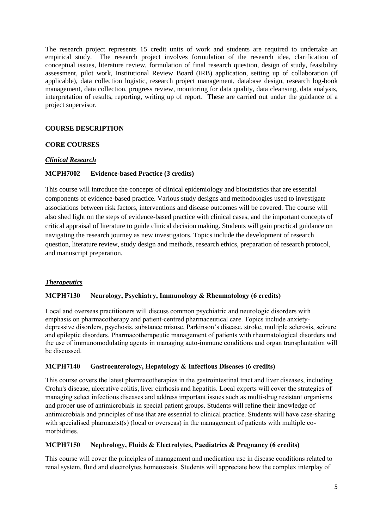The research project represents 15 credit units of work and students are required to undertake an empirical study. The research project involves formulation of the research idea, clarification of conceptual issues, literature review, formulation of final research question, design of study, feasibility assessment, pilot work, Institutional Review Board (IRB) application, setting up of collaboration (if applicable), data collection logistic, research project management, database design, research log-book management, data collection, progress review, monitoring for data quality, data cleansing, data analysis, interpretation of results, reporting, writing up of report. These are carried out under the guidance of a project supervisor.

## **COURSE DESCRIPTION**

## **CORE COURSES**

## *Clinical Research*

#### **MCPH7002 Evidence-based Practice (3 credits)**

This course will introduce the concepts of clinical epidemiology and biostatistics that are essential components of evidence-based practice. Various study designs and methodologies used to investigate associations between risk factors, interventions and disease outcomes will be covered. The course will also shed light on the steps of evidence-based practice with clinical cases, and the important concepts of critical appraisal of literature to guide clinical decision making. Students will gain practical guidance on navigating the research journey as new investigators. Topics include the development of research question, literature review, study design and methods, research ethics, preparation of research protocol, and manuscript preparation.

## *Therapeutics*

#### **MCPH7130 Neurology, Psychiatry, Immunology & Rheumatology (6 credits)**

Local and overseas practitioners will discuss common psychiatric and neurologic disorders with emphasis on pharmacotherapy and patient-centred pharmaceutical care. Topics include anxietydepressive disorders, psychosis, substance misuse, Parkinson's disease, stroke, multiple sclerosis, seizure and epileptic disorders. Pharmacotherapeutic management of patients with rheumatological disorders and the use of immunomodulating agents in managing auto-immune conditions and organ transplantation will be discussed.

#### **MCPH7140 Gastroenterology, Hepatology & Infectious Diseases (6 credits)**

This course covers the latest pharmacotherapies in the gastrointestinal tract and liver diseases, including Crohn's disease, ulcerative colitis, liver cirrhosis and hepatitis. Local experts will cover the strategies of managing select infectious diseases and address important issues such as multi-drug resistant organisms and proper use of antimicrobials in special patient groups. Students will refine their knowledge of antimicrobials and principles of use that are essential to clinical practice. Students will have case-sharing with specialised pharmacist(s) (local or overseas) in the management of patients with multiple comorbidities.

#### **MCPH7150 Nephrology, Fluids & Electrolytes, Paediatrics & Pregnancy (6 credits)**

This course will cover the principles of management and medication use in disease conditions related to renal system, fluid and electrolytes homeostasis. Students will appreciate how the complex interplay of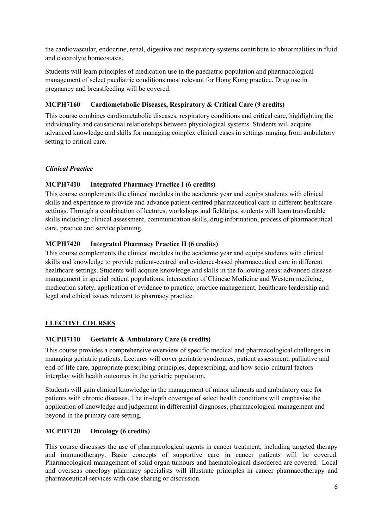the cardiovascular, endocrine, renal, digestive and respiratory systems contribute to abnormalities in fluid and electrolyte homeostasis.

Students will learn principles of medication use in the paediatric population and pharmacological management of select paediatric conditions most relevant for Hong Kong practice. Drug use in pregnancy and breastfeeding will be covered.

# **MCPH7160 Cardiometabolic Diseases, Respiratory & Critical Care (9 credits)**

This course combines cardiometabolic diseases, respiratory conditions and critical care, highlighting the individuality and causational relationships between physiological systems. Students will acquire advanced knowledge and skills for managing complex clinical cases in settings ranging from ambulatory setting to critical care.

# *Clinical Practice*

# **MCPH7410 Integrated Pharmacy Practice I (6 credits)**

This course complements the clinical modules in the academic year and equips students with clinical skills and experience to provide and advance patient-centred pharmaceutical care in different healthcare settings. Through a combination of lectures, workshops and fieldtrips, students will learn transferable skills including: clinical assessment, communication skills, drug information, process of pharmaceutical care, practice and service planning.

# **MCPH7420 Integrated Pharmacy Practice II (6 credits)**

This course complements the clinical modules in the academic year and equips students with clinical skills and knowledge to provide patient-centred and evidence-based pharmaceutical care in different healthcare settings. Students will acquire knowledge and skills in the following areas: advanced disease management in special patient populations, intersection of Chinese Medicine and Western medicine, medication safety, application of evidence to practice, practice management, healthcare leadership and legal and ethical issues relevant to pharmacy practice.

# **ELECTIVE COURSES**

## **MCPH7110 Geriatric & Ambulatory Care (6 credits)**

This course provides a comprehensive overview of specific medical and pharmacological challenges in managing geriatric patients. Lectures will cover geriatric syndromes, patient assessment, palliative and end-of-life care, appropriate prescribing principles, deprescribing, and how socio-cultural factors interplay with health outcomes in the geriatric population.

Students will gain clinical knowledge in the management of minor ailments and ambulatory care for patients with chronic diseases. The in-depth coverage of select health conditions will emphasise the application of knowledge and judgement in differential diagnoses, pharmacological management and beyond in the primary care setting.

## **MCPH7120 Oncology (6 credits)**

This course discusses the use of pharmacological agents in cancer treatment, including targeted therapy and immunotherapy. Basic concepts of supportive care in cancer patients will be covered. Pharmacological management of solid organ tumours and haematological disordered are covered. Local and overseas oncology pharmacy specialists will illustrate principles in cancer pharmacotherapy and pharmaceutical services with case sharing or discussion.